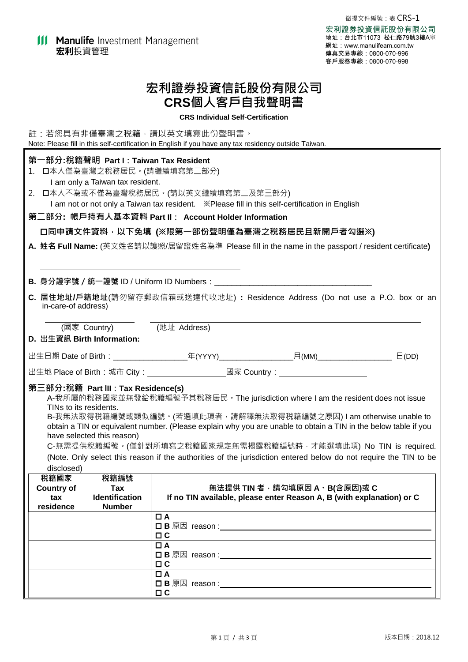# **宏利證券投資信託股份有限公司 CRS個人客戶自我聲明書**

## **CRS Individual Self-Certification**

|                                                                                                       |                                                                            | 註:若您具有非僅臺灣之稅籍,請以英文填寫此份聲明書。<br>Note: Please fill in this self-certification in English if you have any tax residency outside Taiwan. |                                                                                                                                                                                                                                                                                                                                                                                                                                                                  |  |
|-------------------------------------------------------------------------------------------------------|----------------------------------------------------------------------------|-------------------------------------------------------------------------------------------------------------------------------------|------------------------------------------------------------------------------------------------------------------------------------------------------------------------------------------------------------------------------------------------------------------------------------------------------------------------------------------------------------------------------------------------------------------------------------------------------------------|--|
| 1.                                                                                                    | 第一部分:稅籍聲明 Part I : Taiwan Tax Resident<br>I am only a Taiwan tax resident. | □本人僅為臺灣之稅務居民。(請繼續填寫第二部分)<br>2. 口本人不為或不僅為臺灣稅務居民。(請以英文繼續填寫第二及第三部分)<br>第ニ部分: 帳戶持有人基本資料 PartⅡ : Account Holder Information              | 口同申請文件資料, 以下免填 (※限第一部份聲明僅為臺灣之稅務居民且新開戶者勾選※)<br>A. 姓名 Full Name: (英文姓名請以護照/居留證姓名為準 Please fill in the name in the passport / resident certificate)                                                                                                                                                                                                                                                                                                                 |  |
|                                                                                                       |                                                                            |                                                                                                                                     |                                                                                                                                                                                                                                                                                                                                                                                                                                                                  |  |
| C. 居住地址/戶籍地址(請勿留存郵政信箱或送達代收地址) : Residence Address (Do not use a P.O. box or an<br>in-care-of address) |                                                                            |                                                                                                                                     |                                                                                                                                                                                                                                                                                                                                                                                                                                                                  |  |
| (國家 Country) (地址 Address)                                                                             |                                                                            |                                                                                                                                     |                                                                                                                                                                                                                                                                                                                                                                                                                                                                  |  |
|                                                                                                       | D. 出生資訊 Birth Information:                                                 |                                                                                                                                     |                                                                                                                                                                                                                                                                                                                                                                                                                                                                  |  |
|                                                                                                       |                                                                            |                                                                                                                                     |                                                                                                                                                                                                                                                                                                                                                                                                                                                                  |  |
| 出生地 Place of Birth:城市 City:_______________________國家 Country:___________________                      |                                                                            |                                                                                                                                     |                                                                                                                                                                                                                                                                                                                                                                                                                                                                  |  |
| TINs to its residents.<br>disclosed)                                                                  | 第三部分:稅籍 Part III:Tax Residence(s)<br>have selected this reason)            |                                                                                                                                     | A-我所屬的稅務國家並無發給稅籍編號予其稅務居民 · The jurisdiction where I am the resident does not issue<br>B-我無法取得稅籍編號或類似編號。(若選填此項者‧請解釋無法取得稅籍編號之原因) I am otherwise unable to<br>obtain a TIN or equivalent number. (Please explain why you are unable to obtain a TIN in the below table if you<br>C-無需提供稅籍編號。(僅針對所填寫之稅籍國家規定無需揭露稅籍編號時,才能選填此項) No TIN is required.<br>(Note. Only select this reason if the authorities of the jurisdiction entered below do not require the TIN to be |  |
| 稅籍國家                                                                                                  | 稅籍編號                                                                       |                                                                                                                                     |                                                                                                                                                                                                                                                                                                                                                                                                                                                                  |  |
| <b>Country of</b><br>tax<br>residence                                                                 | Tax<br><b>Identification</b><br><b>Number</b>                              |                                                                                                                                     | 無法提供 TIN 者,請勾填原因 A、B(含原因)或 C<br>If no TIN available, please enter Reason A, B (with explanation) or C                                                                                                                                                                                                                                                                                                                                                            |  |
|                                                                                                       |                                                                            | $\Box$ A<br>$\Box$ $\Box$                                                                                                           |                                                                                                                                                                                                                                                                                                                                                                                                                                                                  |  |
|                                                                                                       |                                                                            | $\Box$ A<br>$\Box$ $C$                                                                                                              |                                                                                                                                                                                                                                                                                                                                                                                                                                                                  |  |
|                                                                                                       |                                                                            | $\Box$ A<br>$\Box$ $\Box$                                                                                                           |                                                                                                                                                                                                                                                                                                                                                                                                                                                                  |  |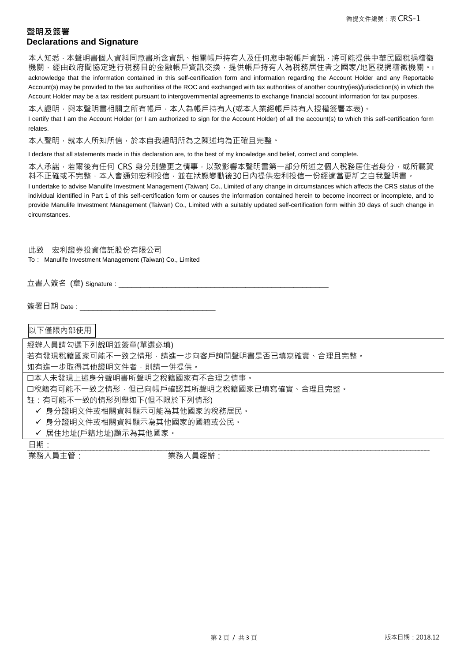# **聲明及簽署 Declarations and Signature**

本人知悉,本聲明書個人資料同意書所含資訊、相關帳戶持有人及任何應申報帳戶資訊,將可能提供中華民國稅捐稽徵 機關,經由政府間協定進行稅務目的金融帳戶資訊交換,提供帳戶持有人為稅務居住者之國家/地區稅捐稽徵機關。I acknowledge that the information contained in this self-certification form and information regarding the Account Holder and any Reportable Account(s) may be provided to the tax authorities of the ROC and exchanged with tax authorities of another country(ies)/jurisdiction(s) in which the Account Holder may be a tax resident pursuant to intergovernmental agreements to exchange financial account information for tax purposes.

本人證明,與本聲明書相關之所有帳戶,本人為帳戶持有人(或本人業經帳戶持有人授權簽署本表)。

I certify that I am the Account Holder (or I am authorized to sign for the Account Holder) of all the account(s) to which this self-certification form relates.

本人聲明﹐就本人所知所信﹐於本自我證明所為之陳述均為正確且完整﹐

I declare that all statements made in this declaration are, to the best of my knowledge and belief, correct and complete.

本人承諾,若爾後有任何 CRS 身分別變更之情事,以致影響本聲明書第一部分所述之個人稅務居住者身分,或所載資 料不正確或不完整,本人會通知宏利投信,並在狀態變動後30日內提供宏利投信一份經適當更新之自我聲明書。

I undertake to advise Manulife Investment Management (Taiwan) Co., Limited of any change in circumstances which affects the CRS status of the individual identified in Part 1 of this self-certification form or causes the information contained herein to become incorrect or incomplete, and to provide Manulife Investment Management (Taiwan) Co., Limited with a suitably updated self-certification form within 30 days of such change in circumstances.

此致 宏利證券投資信託股份有限公司 To: Manulife Investment Management (Taiwan) Co., Limited

立書人簽名 (章) Signature :

簽署日期 Date :

以下僅限內部使用

經辦人員請勾選下列說明並簽章(單選必填) 若有發現稅籍國家可能不一致之情形,請進一步向客戶詢問聲明書是否已填寫確實、合理且完整。 如有進一步取得其他證明文件者,則請一併提供。 本人未發現上述身分聲明書所聲明之稅籍國家有不合理之情事。 口稅籍有可能不一致之情形,但已向帳戶確認其所聲明之稅籍國家已填寫確實、合理且完整。 註:有可能不一致的情形列舉如下(但不限於下列情形) ✔ 身分證明文件或相關資料顯示可能為其他國家的稅務居民。 ✔ 身分證明文件或相關資料顯示為其他國家的國籍或公民。 ✔ 居住地址(戶籍地址)顯示為其他國家。

日期:

業務人員主管: 業務人員經辦: